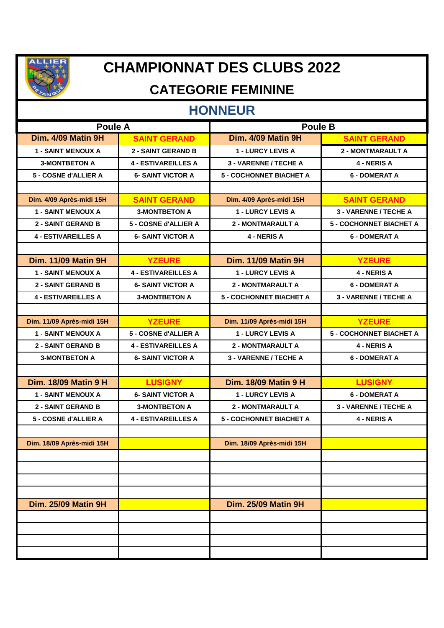

# **CHAMPIONNAT DES CLUBS 2022**

### **CATEGORIE FEMININE**

#### **HONNEUR**

| <b>Poule A</b>              |                            | <b>Poule B</b>                 |                                |
|-----------------------------|----------------------------|--------------------------------|--------------------------------|
| Dim. 4/09 Matin 9H          | <b>SAINT GERAND</b>        | Dim. 4/09 Matin 9H             | <b>SAINT GERAND</b>            |
| <b>1 - SAINT MENOUX A</b>   | <b>2 - SAINT GERAND B</b>  | <b>1 - LURCY LEVIS A</b>       | <b>2 - MONTMARAULT A</b>       |
| <b>3-MONTBETON A</b>        | <b>4 - ESTIVAREILLES A</b> | 3 - VARENNE / TECHE A          | 4 - NERIS A                    |
| 5 - COSNE d'ALLIER A        | <b>6- SAINT VICTOR A</b>   | <b>5 - COCHONNET BIACHET A</b> | <b>6 - DOMERAT A</b>           |
|                             |                            |                                |                                |
| Dim. 4/09 Après-midi 15H    | <b>SAINT GERAND</b>        | Dim. 4/09 Après-midi 15H       | <b>SAINT GERAND</b>            |
| <b>1 - SAINT MENOUX A</b>   | <b>3-MONTBETON A</b>       | 1 - LURCY LEVIS A              | 3 - VARENNE / TECHE A          |
| <b>2 - SAINT GERAND B</b>   | 5 - COSNE d'ALLIER A       | <b>2 - MONTMARAULT A</b>       | <b>5 - COCHONNET BIACHET A</b> |
| <b>4 - ESTIVAREILLES A</b>  | <b>6- SAINT VICTOR A</b>   | 4 - NERIS A                    | <b>6 - DOMERAT A</b>           |
|                             |                            |                                |                                |
| <b>Dim. 11/09 Matin 9H</b>  | <b>YZEURE</b>              | <b>Dim. 11/09 Matin 9H</b>     | <b>YZEURE</b>                  |
| <b>1 - SAINT MENOUX A</b>   | <b>4 - ESTIVAREILLES A</b> | 1 - LURCY LEVIS A              | 4 - NERIS A                    |
| <b>2 - SAINT GERAND B</b>   | <b>6- SAINT VICTOR A</b>   | <b>2 - MONTMARAULT A</b>       | <b>6 - DOMERAT A</b>           |
| <b>4 - ESTIVAREILLES A</b>  | <b>3-MONTBETON A</b>       | <b>5 - COCHONNET BIACHET A</b> | 3 - VARENNE / TECHE A          |
|                             |                            |                                |                                |
| Dim. 11/09 Après-midi 15H   | <b>YZEURE</b>              | Dim. 11/09 Après-midi 15H      | <b>YZEURE</b>                  |
| <b>1 - SAINT MENOUX A</b>   | 5 - COSNE d'ALLIER A       | 1 - LURCY LEVIS A              | <b>5 - COCHONNET BIACHET A</b> |
| <b>2 - SAINT GERAND B</b>   | <b>4 - ESTIVAREILLES A</b> | 2 - MONTMARAULT A              | 4 - NERIS A                    |
| <b>3-MONTBETON A</b>        | <b>6- SAINT VICTOR A</b>   | 3 - VARENNE / TECHE A          | <b>6 - DOMERAT A</b>           |
|                             |                            |                                |                                |
| <b>Dim. 18/09 Matin 9 H</b> | <b>LUSIGNY</b>             | <b>Dim. 18/09 Matin 9 H</b>    | <b>LUSIGNY</b>                 |
| <b>1 - SAINT MENOUX A</b>   | <b>6- SAINT VICTOR A</b>   | 1 - LURCY LEVIS A              | <b>6 - DOMERAT A</b>           |
| <b>2 - SAINT GERAND B</b>   | <b>3-MONTBETON A</b>       | 2 - MONTMARAULT A              | 3 - VARENNE / TECHE A          |
| 5 - COSNE d'ALLIER A        | <b>4 - ESTIVAREILLES A</b> | <b>5 - COCHONNET BIACHET A</b> | 4 - NERIS A                    |
|                             |                            |                                |                                |
| Dim. 18/09 Après-midi 15H   |                            | Dim. 18/09 Après-midi 15H      |                                |
|                             |                            |                                |                                |
|                             |                            |                                |                                |
|                             |                            |                                |                                |
|                             |                            |                                |                                |
| <b>Dim. 25/09 Matin 9H</b>  |                            | <b>Dim. 25/09 Matin 9H</b>     |                                |
|                             |                            |                                |                                |
|                             |                            |                                |                                |
|                             |                            |                                |                                |
|                             |                            |                                |                                |